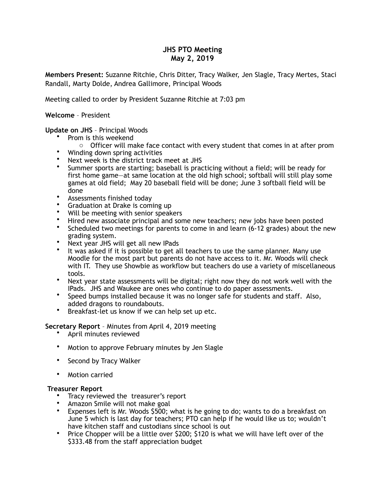# **JHS PTO Meeting May 2, 2019**

**Members Present:** Suzanne Ritchie, Chris Ditter, Tracy Walker, Jen Slagle, Tracy Mertes, Staci Randall, Marty Dolde, Andrea Gallimore, Principal Woods

Meeting called to order by President Suzanne Ritchie at 7:03 pm

#### **Welcome** – President

## **Update on JHS** – Principal Woods

- Prom is this weekend
	- o Officer will make face contact with every student that comes in at after prom
- Winding down spring activities
- Next week is the district track meet at JHS
- Summer sports are starting; baseball is practicing without a field; will be ready for first home game—at same location at the old high school; softball will still play some games at old field; May 20 baseball field will be done; June 3 softball field will be done
- Assessments finished today
- Graduation at Drake is coming up
- Will be meeting with senior speakers
- Hired new associate principal and some new teachers; new jobs have been posted
- Scheduled two meetings for parents to come in and learn (6-12 grades) about the new grading system.
- Next year JHS will get all new IPads
- It was asked if it is possible to get all teachers to use the same planner. Many use Moodle for the most part but parents do not have access to it. Mr. Woods will check with IT. They use Showbie as workflow but teachers do use a variety of miscellaneous tools.
- Next year state assessments will be digital; right now they do not work well with the IPads. JHS and Waukee are ones who continue to do paper assessments.
- Speed bumps installed because it was no longer safe for students and staff. Also, added dragons to roundabouts.
- Breakfast-let us know if we can help set up etc.

**Secretary Report** – Minutes from April 4, 2019 meeting

- April minutes reviewed
- Motion to approve February minutes by Jen Slagle
- Second by Tracy Walker
- Motion carried

#### **Treasurer Report**

- Tracy reviewed the treasurer's report
- Amazon Smile will not make goal
- Expenses left is Mr. Woods \$500; what is he going to do; wants to do a breakfast on June 5 which is last day for teachers; PTO can help if he would like us to; wouldn't have kitchen staff and custodians since school is out
- Price Chopper will be a little over \$200; \$120 is what we will have left over of the \$333.48 from the staff appreciation budget